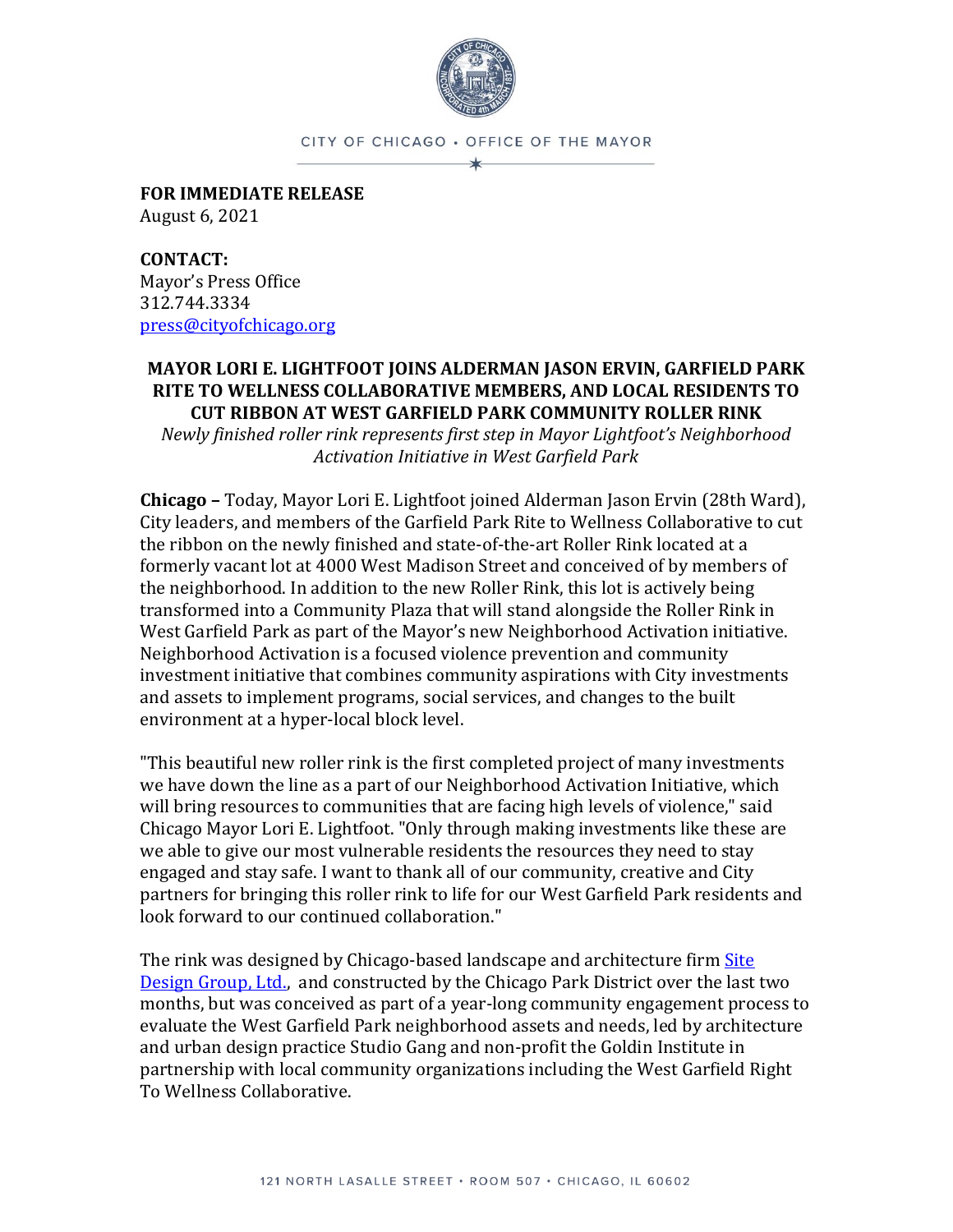

CITY OF CHICAGO · OFFICE OF THE MAYOR

**FOR IMMEDIATE RELEASE** August 6, 2021

**CONTACT:** Mayor's Press Office 312.744.3334 [press@cityofchicago.org](mailto:press@cityofchicago.org)

## **MAYOR LORI E. LIGHTFOOT JOINS ALDERMAN JASON ERVIN, GARFIELD PARK RITE TO WELLNESS COLLABORATIVE MEMBERS, AND LOCAL RESIDENTS TO CUT RIBBON AT WEST GARFIELD PARK COMMUNITY ROLLER RINK**

*Newly finished roller rink represents first step in Mayor Lightfoot's Neighborhood Activation Initiative in West Garfield Park*

**Chicago –** Today, Mayor Lori E. Lightfoot joined Alderman Jason Ervin (28th Ward), City leaders, and members of the Garfield Park Rite to Wellness Collaborative to cut the ribbon on the newly finished and state-of-the-art Roller Rink located at a formerly vacant lot at 4000 West Madison Street and conceived of by members of the neighborhood. In addition to the new Roller Rink, this lot is actively being transformed into a Community Plaza that will stand alongside the Roller Rink in West Garfield Park as part of the Mayor's new Neighborhood Activation initiative. Neighborhood Activation is a focused violence prevention and community investment initiative that combines community aspirations with City investments and assets to implement programs, social services, and changes to the built environment at a hyper-local block level.

"This beautiful new roller rink is the first completed project of many investments we have down the line as a part of our Neighborhood Activation Initiative, which will bring resources to communities that are facing high levels of violence," said Chicago Mayor Lori E. Lightfoot. "Only through making investments like these are we able to give our most vulnerable residents the resources they need to stay engaged and stay safe. I want to thank all of our community, creative and City partners for bringing this roller rink to life for our West Garfield Park residents and look forward to our continued collaboration."

The rink was designed by Chicago-based landscape and architecture firm [Site](https://www.site-design.com/)  [Design Group, Ltd.,](https://www.site-design.com/) and constructed by the Chicago Park District over the last two months, but was conceived as part of a year-long community engagement process to evaluate the West Garfield Park neighborhood assets and needs, led by architecture and urban design practice Studio Gang and non-profit the Goldin Institute in partnership with local community organizations including the West Garfield Right To Wellness Collaborative.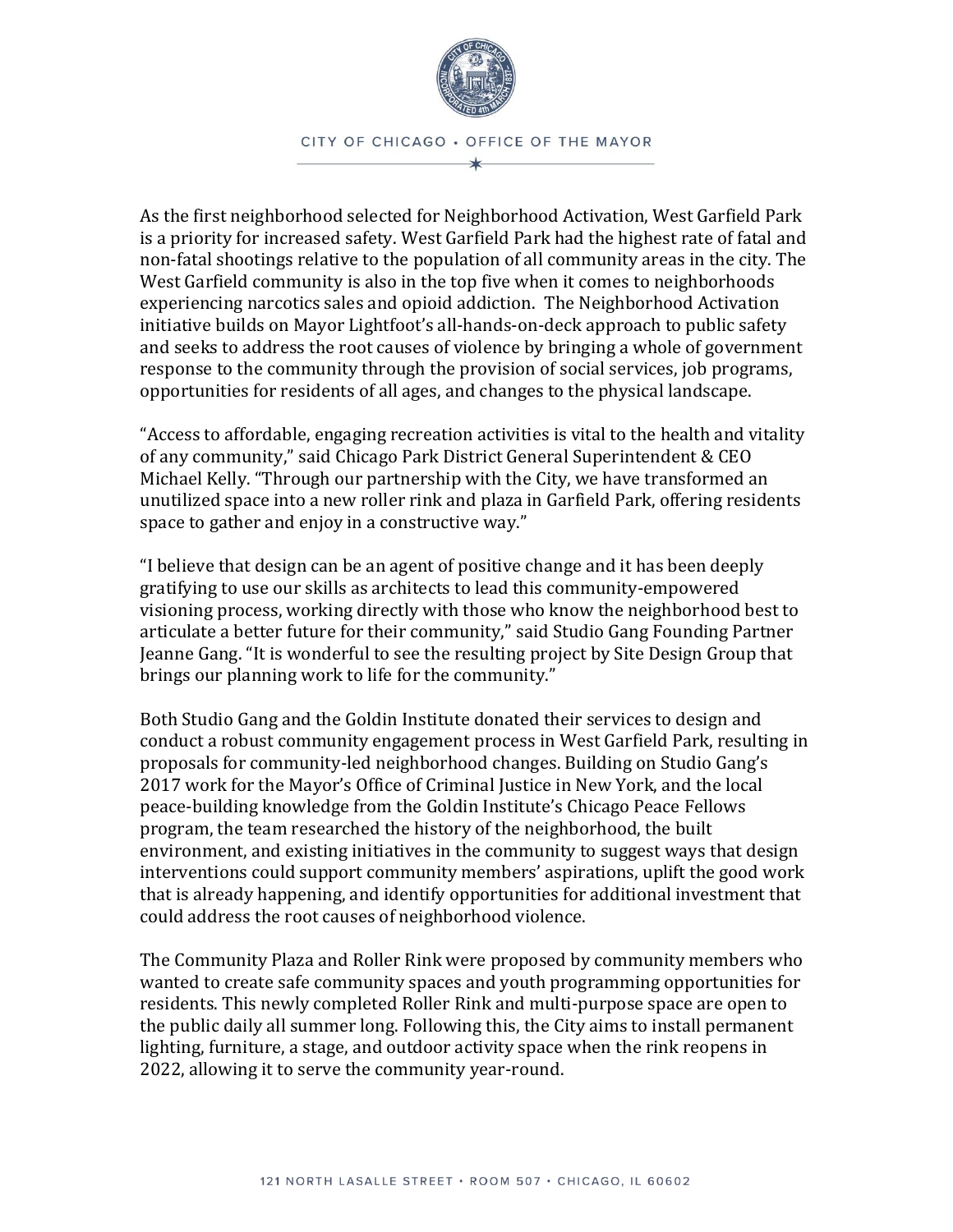

As the first neighborhood selected for Neighborhood Activation, West Garfield Park is a priority for increased safety. West Garfield Park had the highest rate of fatal and non-fatal shootings relative to the population of all community areas in the city. The West Garfield community is also in the top five when it comes to neighborhoods experiencing narcotics sales and opioid addiction. The Neighborhood Activation initiative builds on Mayor Lightfoot's all-hands-on-deck approach to public safety and seeks to address the root causes of violence by bringing a whole of government response to the community through the provision of social services, job programs, opportunities for residents of all ages, and changes to the physical landscape.

"Access to affordable, engaging recreation activities is vital to the health and vitality of any community," said Chicago Park District General Superintendent & CEO Michael Kelly. "Through our partnership with the City, we have transformed an unutilized space into a new roller rink and plaza in Garfield Park, offering residents space to gather and enjoy in a constructive way."

"I believe that design can be an agent of positive change and it has been deeply gratifying to use our skills as architects to lead this community-empowered visioning process, working directly with those who know the neighborhood best to articulate a better future for their community," said Studio Gang Founding Partner Jeanne Gang. "It is wonderful to see the resulting project by Site Design Group that brings our planning work to life for the community."

Both Studio Gang and the Goldin Institute donated their services to design and conduct a robust community engagement process in West Garfield Park, resulting in proposals for community-led neighborhood changes. Building on Studio Gang's 2017 work for the Mayor's Office of Criminal Justice in New York, and the local peace-building knowledge from the Goldin Institute's Chicago Peace Fellows program, the team researched the history of the neighborhood, the built environment, and existing initiatives in the community to suggest ways that design interventions could support community members' aspirations, uplift the good work that is already happening, and identify opportunities for additional investment that could address the root causes of neighborhood violence.

The Community Plaza and Roller Rink were proposed by community members who wanted to create safe community spaces and youth programming opportunities for residents. This newly completed Roller Rink and multi-purpose space are open to the public daily all summer long. Following this, the City aims to install permanent lighting, furniture, a stage, and outdoor activity space when the rink reopens in 2022, allowing it to serve the community year-round.